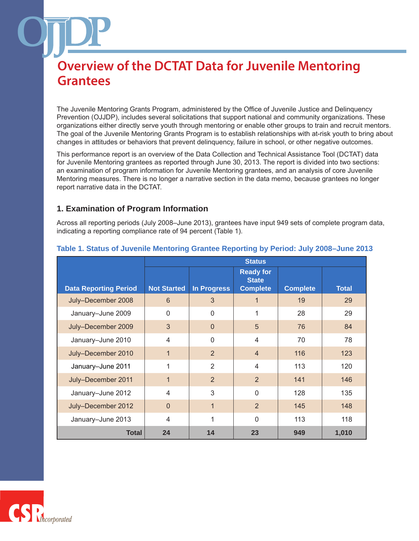The Juvenile Mentoring Grants Program, administered by the Office of Juvenile Justice and Delinquency Prevention (OJJDP), includes several solicitations that support national and community organizations. These organizations either directly serve youth through mentoring or enable other groups to train and recruit mentors. The goal of the Juvenile Mentoring Grants Program is to establish relationships with at-risk youth to bring about changes in attitudes or behaviors that prevent delinquency, failure in school, or other negative outcomes.

This performance report is an overview of the Data Collection and Technical Assistance Tool (DCTAT) data for Juvenile Mentoring grantees as reported through June 30, 2013. The report is divided into two sections: an examination of program information for Juvenile Mentoring grantees, and an analysis of core Juvenile Mentoring measures. There is no longer a narrative section in the data memo, because grantees no longer report narrative data in the DCTAT.

### **1. Examination of Program Information**

Across all reporting periods (July 2008–June 2013), grantees have input 949 sets of complete program data, indicating a reporting compliance rate of 94 percent (Table 1).

|                              | <b>Status</b>      |                |                                                     |                 |              |  |
|------------------------------|--------------------|----------------|-----------------------------------------------------|-----------------|--------------|--|
| <b>Data Reporting Period</b> | <b>Not Started</b> | In Progress    | <b>Ready for</b><br><b>State</b><br><b>Complete</b> | <b>Complete</b> | <b>Total</b> |  |
| July-December 2008           | 6                  | 3              | 1                                                   | 19              | 29           |  |
| January-June 2009            | $\Omega$           | $\Omega$       | 1                                                   | 28              | 29           |  |
| July-December 2009           | 3                  | $\Omega$       | 5                                                   | 76              | 84           |  |
| January-June 2010            | $\overline{4}$     | $\Omega$       | 4                                                   | 70              | 78           |  |
| July-December 2010           | $\mathbf{1}$       | 2              | $\overline{4}$                                      | 116             | 123          |  |
| January-June 2011            | 1                  | $\overline{2}$ | $\overline{4}$                                      | 113             | 120          |  |
| July-December 2011           | $\mathbf{1}$       | 2              | $\overline{2}$                                      | 141             | 146          |  |
| January-June 2012            | $\overline{4}$     | 3              | $\mathbf{0}$                                        | 128             | 135          |  |
| July-December 2012           | $\overline{0}$     | $\mathbf 1$    | $\overline{2}$                                      | 145             | 148          |  |
| January-June 2013            | $\overline{4}$     | 1              | $\mathbf{0}$                                        | 113             | 118          |  |
| <b>Total</b>                 | 24                 | 14             | 23                                                  | 949             | 1,010        |  |

#### **Table 1. Status of Juvenile Mentoring Grantee Reporting by Period: July 2008–June 2013**

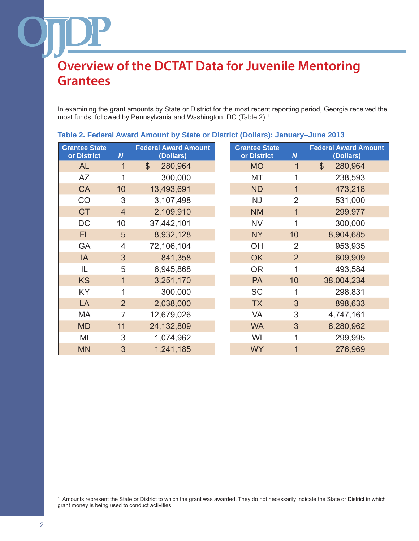In examining the grant amounts by State or District for the most recent reporting period, Georgia received the most funds, followed by Pennsylvania and Washington, DC (Table 2).1

| <b>Grantee State</b><br>or District | $\overline{N}$ | <b>Federal Award Amount</b><br>(Dollars) | <b>Grantee State</b><br>or District | $\boldsymbol{N}$ | <b>Federal Award Ar</b><br>(Dollars) |
|-------------------------------------|----------------|------------------------------------------|-------------------------------------|------------------|--------------------------------------|
| <b>AL</b>                           | $\mathbf 1$    | $\boldsymbol{\mathsf{S}}$<br>280,964     | <b>MO</b>                           | $\mathbf 1$      | 280,964<br>$\boldsymbol{\mathsf{S}}$ |
| <b>AZ</b>                           | 1              | 300,000                                  | МT                                  | 1                | 238,593                              |
| <b>CA</b>                           | 10             | 13,493,691                               | <b>ND</b>                           | $\overline{1}$   | 473,218                              |
| CO                                  | 3              | 3,107,498                                | <b>NJ</b>                           | $\overline{2}$   | 531,000                              |
| <b>CT</b>                           | $\overline{4}$ | 2,109,910                                | <b>NM</b>                           | $\overline{1}$   | 299,977                              |
| <b>DC</b>                           | 10             | 37,442,101                               | <b>NV</b>                           | 1                | 300,000                              |
| FL.                                 | 5              | 8,932,128                                | <b>NY</b>                           | 10               | 8,904,685                            |
| GA                                  | 4              | 72,106,104                               | OH                                  | $\overline{2}$   | 953,935                              |
| <b>IA</b>                           | 3              | 841,358                                  | <b>OK</b>                           | $\overline{2}$   | 609,909                              |
| IL                                  | 5              | 6,945,868                                | <b>OR</b>                           | 1                | 493,584                              |
| <b>KS</b>                           | $\overline{1}$ | 3,251,170                                | PA                                  | 10               | 38,004,234                           |
| <b>KY</b>                           | 1              | 300,000                                  | <b>SC</b>                           | 1                | 298,831                              |
| LA                                  | $\overline{2}$ | 2,038,000                                | <b>TX</b>                           | 3                | 898,633                              |
| MA                                  | $\overline{7}$ | 12,679,026                               | VA                                  | 3                | 4,747,161                            |
| <b>MD</b>                           | 11             | 24, 132, 809                             | <b>WA</b>                           | 3                | 8,280,962                            |
| MI                                  | 3              | 1,074,962                                | WI                                  | 1                | 299,995                              |
| <b>MN</b>                           | 3              | 1,241,185                                | <b>WY</b>                           | $\overline{1}$   | 276,969                              |

| tee State<br><b>District</b> | $\overline{N}$ | <b>Federal Award Amount</b><br>(Dollars) | <b>Grantee State</b><br>or District | $\boldsymbol{N}$ | <b>Federal Award Amount</b><br>(Dollars) |
|------------------------------|----------------|------------------------------------------|-------------------------------------|------------------|------------------------------------------|
| <b>AL</b>                    | 1              | $\mathbb{S}$<br>280,964                  | <b>MO</b>                           | $\mathbf 1$      | $\mathcal{S}$<br>280,964                 |
| AΖ                           | 1              | 300,000                                  | MT                                  | 1                | 238,593                                  |
| <b>CA</b>                    | 10             | 13,493,691                               | <b>ND</b>                           | 1                | 473,218                                  |
| CO                           | 3              | 3,107,498                                | <b>NJ</b>                           | $\overline{2}$   | 531,000                                  |
| <b>CT</b>                    | $\overline{4}$ | 2,109,910                                | <b>NM</b>                           | 1                | 299,977                                  |
| DC                           | 10             | 37,442,101                               | <b>NV</b>                           | 1                | 300,000                                  |
| <b>FL</b>                    | 5              | 8,932,128                                | <b>NY</b>                           | 10               | 8,904,685                                |
| GA                           | 4              | 72,106,104                               | <b>OH</b>                           | $\overline{2}$   | 953,935                                  |
| IA                           | 3              | 841,358                                  | <b>OK</b>                           | $\overline{2}$   | 609,909                                  |
| IL                           | 5              | 6,945,868                                | <b>OR</b>                           | 1                | 493,584                                  |
| <b>KS</b>                    | 1              | 3,251,170                                | <b>PA</b>                           | 10               | 38,004,234                               |
| <b>KY</b>                    | 1              | 300,000                                  | <b>SC</b>                           | 1                | 298,831                                  |
| LA                           | $\overline{2}$ | 2,038,000                                | <b>TX</b>                           | 3                | 898,633                                  |
| МA                           | 7              | 12,679,026                               | <b>VA</b>                           | 3                | 4,747,161                                |
| <b>MD</b>                    | 11             | 24, 132, 809                             | <b>WA</b>                           | 3                | 8,280,962                                |
| MI                           | 3              | 1,074,962                                | WI                                  | 1                | 299,995                                  |
| <b>MN</b>                    | 3              | 1.241.185                                | <b>WY</b>                           | 1                | 276.969                                  |

### **Table 2. Federal Award Amount by State or District (Dollars): January–June 2013**

<sup>1</sup> Amounts represent the State or District to which the grant was awarded. They do not necessarily indicate the State or District in which grant money is being used to conduct activities.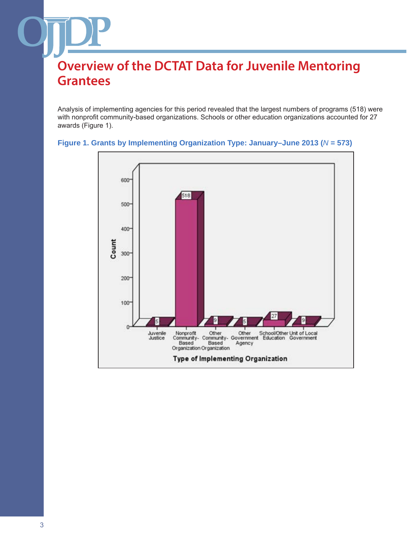Analysis of implementing agencies for this period revealed that the largest numbers of programs (518) were with nonprofit community-based organizations. Schools or other education organizations accounted for 27 awards (Figure 1).



#### **Figure 1. Grants by Implementing Organization Type: January–June 2013 (***N* **= 573)**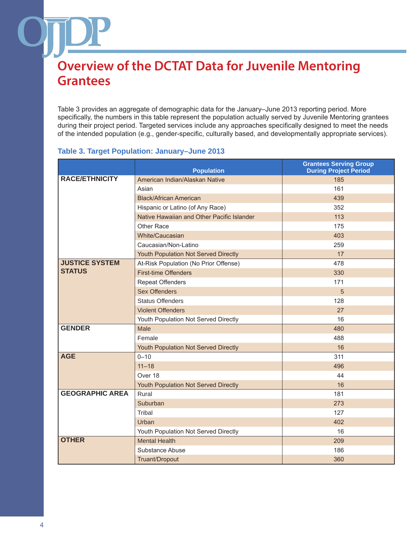Table 3 provides an aggregate of demographic data for the January–June 2013 reporting period. More specifically, the numbers in this table represent the population actually served by Juvenile Mentoring grantees during their project period. Targeted services include any approaches specifically designed to meet the needs of the intended population (e.g., gender-specific, culturally based, and developmentally appropriate services).

#### **Population Grantees Serving Group During Project Period RACE/ETHNICITY** American Indian/Alaskan Native 185 Asian 161 Black/African American 439 Hispanic or Latino (of Any Race) 352 Native Hawaiian and Other Pacific Islander 113 Other Race 175 White/Caucasian 403 Caucasian/Non-Latino 259 Youth Population Not Served Directly 17 **JUSTICE SYSTEM STATUS** At-Risk Population (No Prior Offense) and the state of the 478 First-time Offenders 330 Repeat Offenders 171 Sex Offenders **5** Status Offenders **128** Violent Offenders 27 Youth Population Not Served Directly 16 **GENDER** Male 480 Female 488 and 2012 and 2014 and 2012 and 2014 and 2014 and 2014 and 2014 and 2014 and 2014 and 2014 and 2014 Youth Population Not Served Directly 16 **AGE** 0–10 311 11–18 496 Over 18 **44** Youth Population Not Served Directly 16 **GEOGRAPHIC AREA** Rural 181 Suburban 273 Tribal 127 Urban 1980 - Andrea Britain, actor and a control of the control of the control of the control of the control o Youth Population Not Served Directly 16 **OTHER** Mental Health 209 Substance Abuse 186 Truant/Dropout 360

#### **Table 3. Target Population: January–June 2013**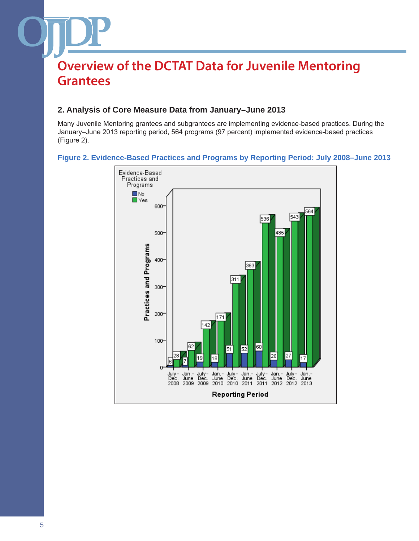### **2. Analysis of Core Measure Data from January–June 2013**

Many Juvenile Mentoring grantees and subgrantees are implementing evidence-based practices. During the January–June 2013 reporting period, 564 programs (97 percent) implemented evidence-based practices (Figure 2).

### **Figure 2. Evidence-Based Practices and Programs by Reporting Period: July 2008–June 2013**

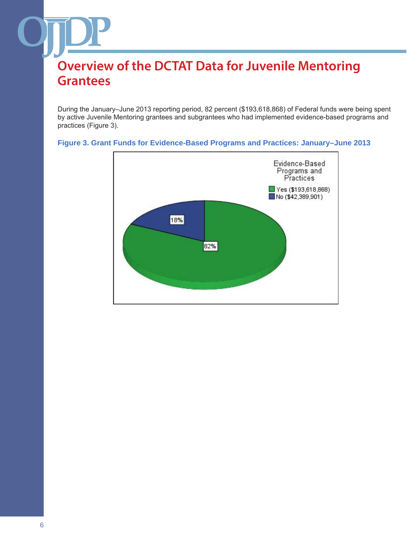During the January–June 2013 reporting period, 82 percent (\$193,618,868) of Federal funds were being spent by active Juvenile Mentoring grantees and subgrantees who had implemented evidence-based programs and practices (Figure 3).



#### **Figure 3. Grant Funds for Evidence-Based Programs and Practices: January–June 2013**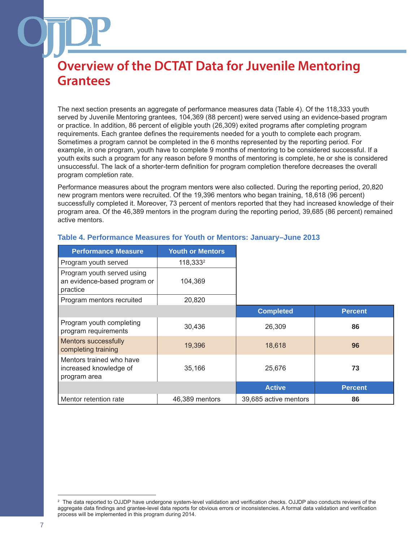The next section presents an aggregate of performance measures data (Table 4). Of the 118,333 youth served by Juvenile Mentoring grantees, 104,369 (88 percent) were served using an evidence-based program or practice. In addition, 86 percent of eligible youth (26,309) exited programs after completing program requirements. Each grantee defines the requirements needed for a youth to complete each program. Sometimes a program cannot be completed in the 6 months represented by the reporting period. For example, in one program, youth have to complete 9 months of mentoring to be considered successful. If a youth exits such a program for any reason before 9 months of mentoring is complete, he or she is considered unsuccessful. The lack of a shorter-term definition for program completion therefore decreases the overall program completion rate.

Performance measures about the program mentors were also collected. During the reporting period, 20,820 new program mentors were recruited. Of the 19,396 mentors who began training, 18,618 (96 percent) successfully completed it. Moreover, 73 percent of mentors reported that they had increased knowledge of their program area. Of the 46,389 mentors in the program during the reporting period, 39,685 (86 percent) remained active mentors.

| <b>Performance Measure</b>                                             | <b>Youth or Mentors</b> |                       |                |
|------------------------------------------------------------------------|-------------------------|-----------------------|----------------|
| Program youth served                                                   | 118,333 <sup>2</sup>    |                       |                |
| Program youth served using<br>an evidence-based program or<br>practice | 104,369                 |                       |                |
| Program mentors recruited                                              | 20,820                  |                       |                |
|                                                                        |                         | <b>Completed</b>      | <b>Percent</b> |
| Program youth completing<br>program requirements                       | 30,436                  | 26,309                | 86             |
| Mentors successfully<br>completing training                            | 19,396                  | 18,618                | 96             |
| Mentors trained who have<br>increased knowledge of<br>program area     | 35,166                  | 25,676                | 73             |
|                                                                        |                         | <b>Active</b>         | <b>Percent</b> |
| Mentor retention rate                                                  | 46,389 mentors          | 39,685 active mentors | 86             |

#### **Table 4. Performance Measures for Youth or Mentors: January–June 2013**

The data reported to OJJDP have undergone system-level validation and verification checks. OJJDP also conducts reviews of the aggregate data findings and grantee-level data reports for obvious errors or inconsistencies. A formal data validation and verification process will be implemented in this program during 2014.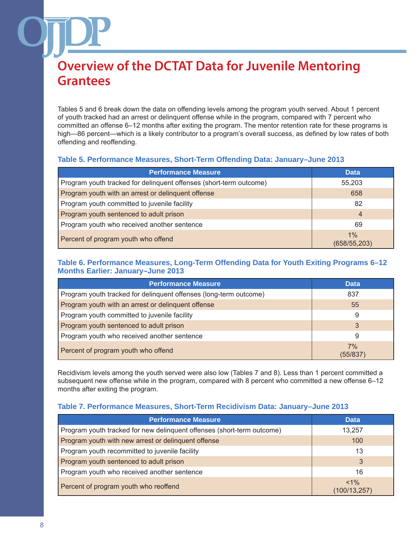Tables 5 and 6 break down the data on offending levels among the program youth served. About 1 percent of youth tracked had an arrest or delinquent offense while in the program, compared with 7 percent who committed an offense 6–12 months after exiting the program. The mentor retention rate for these programs is high—86 percent—which is a likely contributor to a program's overall success, as defined by low rates of both offending and reoffending.

### **Table 5. Performance Measures, Short-Term Offending Data: January–June 2013**

| <b>Performance Measure</b>                                         | <b>Data</b>            |
|--------------------------------------------------------------------|------------------------|
| Program youth tracked for delinquent offenses (short-term outcome) | 55,203                 |
| Program youth with an arrest or delinquent offense                 | 658                    |
| Program youth committed to juvenile facility                       | 82                     |
| Program youth sentenced to adult prison                            | 4                      |
| Program youth who received another sentence                        | 69                     |
| Percent of program youth who offend                                | $1\%$<br>(658/55, 203) |

#### **Table 6. Performance Measures, Long-Term Offending Data for Youth Exiting Programs 6–12 Months Earlier: January–June 2013**

| <b>Performance Measure</b>                                        | <b>Data</b>    |
|-------------------------------------------------------------------|----------------|
| Program youth tracked for delinquent offenses (long-term outcome) | 837            |
| Program youth with an arrest or delinquent offense                | 55             |
| Program youth committed to juvenile facility                      | 9              |
| Program youth sentenced to adult prison                           | 3              |
| Program youth who received another sentence                       | 9              |
| Percent of program youth who offend                               | 7%<br>(55/837) |

Recidivism levels among the youth served were also low (Tables 7 and 8). Less than 1 percent committed a subsequent new offense while in the program, compared with 8 percent who committed a new offense 6–12 months after exiting the program.

### **Table 7. Performance Measures, Short-Term Recidivism Data: January–June 2013**

| <b>Performance Measure</b>                                             | <b>Data</b>              |
|------------------------------------------------------------------------|--------------------------|
| Program youth tracked for new delinquent offenses (short-term outcome) | 13.257                   |
| Program youth with new arrest or delinquent offense                    | 100                      |
| Program youth recommitted to juvenile facility                         | 13                       |
| Program youth sentenced to adult prison                                | 3                        |
| Program youth who received another sentence                            | 16                       |
| Percent of program youth who reoffend                                  | $< 1\%$<br>(100/13, 257) |